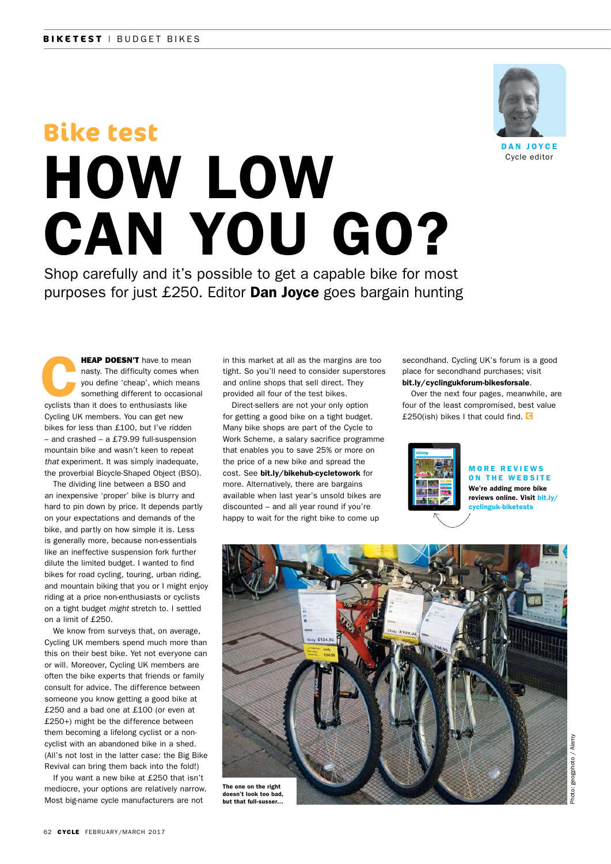# HOW LOW CAN YOU GO? **Bike test**

Shop carefully and it's possible to get a capable bike for most purposes for just  $£250$ . Editor **Dan Joyce** goes bargain hunting

**HEAP DOESN'T** have to mean<br>nasty. The difficulty comes whe<br>you define 'cheap', which mean<br>something different to occasion<br>ovelists than it does to enthusiasts like nasty. The difficulty comes when you define 'cheap', which means something different to occasional cyclists than it does to enthusiasts like Cycling UK members. You can get new bikes for less than £100, but I've ridden – and crashed – a £79.99 full-suspension mountain bike and wasn't keen to repeat *that* experiment. It was simply inadequate, the proverbial Bicycle-Shaped Object (BSO).

The dividing line between a BSO and an inexpensive 'proper' bike is blurry and hard to pin down by price. It depends partly on your expectations and demands of the bike, and partly on how simple it is. Less is generally more, because non-essentials like an ineffective suspension fork further dilute the limited budget. I wanted to find bikes for road cycling, touring, urban riding, and mountain biking that you or I might enjoy riding at a price non-enthusiasts or cyclists on a tight budget *might* stretch to. I settled on a limit of £250.

We know from surveys that, on average, Cycling UK members spend much more than this on their best bike. Yet not everyone can or will. Moreover, Cycling UK members are often the bike experts that friends or family consult for advice. The difference between someone you know getting a good bike at £250 and a bad one at £100 (or even at £250+) might be the difference between them becoming a lifelong cyclist or a noncyclist with an abandoned bike in a shed. (All's not lost in the latter case: the Big Bike Revival can bring them back into the fold!)

If you want a new bike at £250 that isn't mediocre, your options are relatively narrow. Most big-name cycle manufacturers are not

in this market at all as the margins are too tight. So you'll need to consider superstores and online shops that sell direct. They provided all four of the test bikes.

Direct-sellers are not your only option for getting a good bike on a tight budget. Many bike shops are part of the Cycle to Work Scheme, a salary sacrifice programme that enables you to save 25% or more on the price of a new bike and spread the cost. See bit.ly/bikehub-cycletowork for more. Alternatively, there are bargains available when last year's unsold bikes are discounted – and all year round if you're happy to wait for the right bike to come up

secondhand. Cycling UK's forum is a good place for secondhand purchases; visit bit.ly/cyclingukforum-bikesforsale.

Over the next four pages, meanwhile, are four of the least compromised, best value £250(ish) bikes I that could find.  $\blacksquare$ 



# MORE REVIEWS ON THE WEBSITE We're adding more bike

reviews online. Visit bit.ly/ cyclinguk-biketests



DAN JOYCE Cycle editor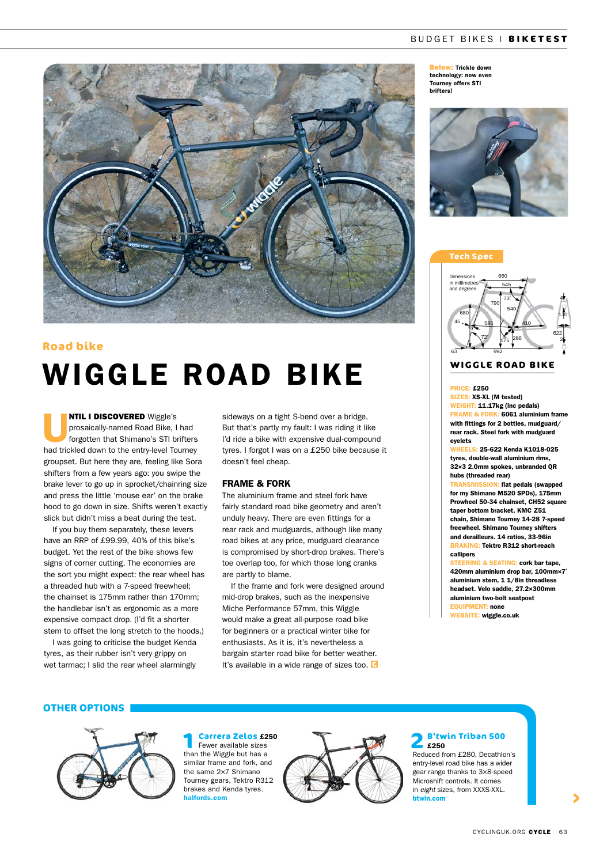# BUDGET BIKES | **BIKETEST**

# WIGGLE ROAD BIKE **Road bike**

**NTIL I DISCOVERED** Wiggle's<br>prosaically-named Road Bike, I<br>forgotten that Shimano's STI br prosaically-named Road Bike, I had forgotten that Shimano's STI brifters had trickled down to the entry-level Tourney groupset. But here they are, feeling like Sora shifters from a few years ago: you swipe the brake lever to go up in sprocket/chainring size and press the little 'mouse ear' on the brake hood to go down in size. Shifts weren't exactly slick but didn't miss a beat during the test.

If you buy them separately, these levers have an RRP of £99.99, 40% of this bike's budget. Yet the rest of the bike shows few signs of corner cutting. The economies are the sort you might expect: the rear wheel has a threaded hub with a 7-speed freewheel; the chainset is 175mm rather than 170mm; the handlebar isn't as ergonomic as a more expensive compact drop. (I'd fit a shorter stem to offset the long stretch to the hoods.)

I was going to criticise the budget Kenda tyres, as their rubber isn't very grippy on wet tarmac; I slid the rear wheel alarmingly

sideways on a tight S-bend over a bridge. But that's partly my fault: I was riding it like I'd ride a bike with expensive dual-compound tyres. I forgot I was on a £250 bike because it doesn't feel cheap.

# FRAME & FORK

The aluminium frame and steel fork have fairly standard road bike geometry and aren't unduly heavy. There are even fittings for a rear rack and mudguards, although like many road bikes at any price, mudguard clearance is compromised by short-drop brakes. There's toe overlap too, for which those long cranks are partly to blame.

If the frame and fork were designed around mid-drop brakes, such as the inexpensive Miche Performance 57mm, this Wiggle would make a great all-purpose road bike for beginners or a practical winter bike for enthusiasts. As it is, it's nevertheless a bargain starter road bike for better weather. It's available in a wide range of sizes too. C

Below: Trickle down technology: now even Tourney offers STI brifters!



# **Tech Spec**



# **WIGGLE ROAD BIKE**

### PRICE: £250

SIZES: XS-XL (M tested) WEIGHT: 11.17kg (inc pedals) FRAME & FORK: 6061 aluminium frame with fittings for 2 bottles, mudguard/ rear rack. Steel fork with mudguard eyelets

WHEELS: 25-622 Kenda K1018-025 tyres, double-wall aluminium rims, 32×3 2.0mm spokes, unbranded QR hubs (threaded rear)

**MISSION: flat pedals (swapped)** for my Shimano M520 SPDs), 175mm Prowheel 50-34 chainset, CH52 square taper bottom bracket, KMC Z51 chain, Shimano Tourney 14-28 7-speed freewheel. Shimano Tourney shifters and derailleurs. 14 ratios, 33-96in BRAKING: Tektro R312 short-reach callipers

STEERING & SEATING: cork bar tape, 420mm aluminium drop bar, 100mm×7˚ aluminium stem, 1 1/8in threadless headset. Velo saddle, 27.2×300mm aluminium two-bolt seatpost EQUIPMENT: none WEBSITE: wiggle.co.uk

#### **OTHER OPTIONS**



**1 Carrera Zelos £250**<br>Fewer available sizes than the Wiggle but has a similar frame and fork, and the same 2×7 Shimano Tourney gears, Tektro R312 brakes and Kenda tyres. halfords.com



 **2 B'twin Triban 500**  £250 Reduced from £280, Decathlon's entry-level road bike has a wider

gear range thanks to 3×8-speed Microshift controls. It comes in *eight* sizes, from XXXS-XXL. btwin.com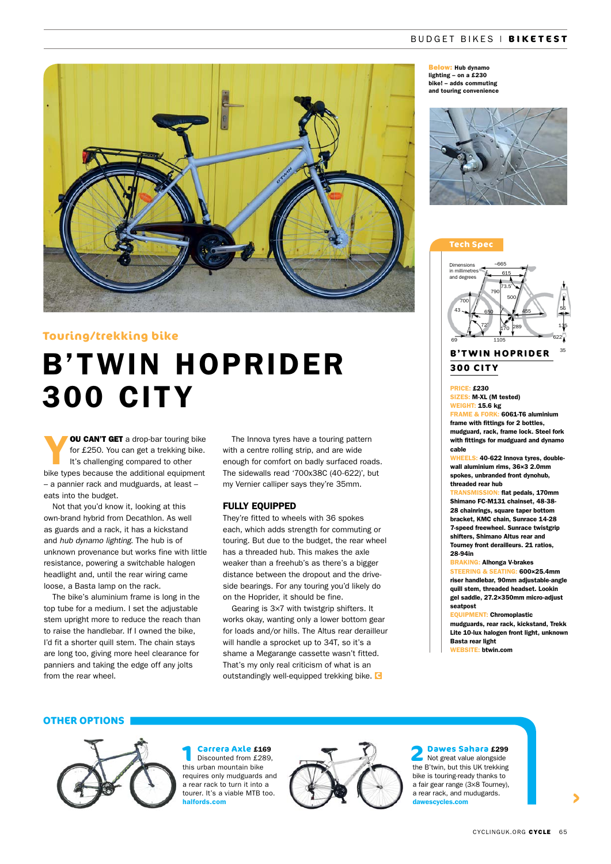# BUDGET BIKES | **BIKETEST**



# **Touring/trekking bike**

# B'TWIN HOPRIDER 300 CITY

**OU CAN'T GET** a drop-bar touring bike for £250. You can get a trekking bike. It's challenging compared to other bike types because the additional equipment – a pannier rack and mudguards, at least – eats into the budget.

Not that you'd know it, looking at this own-brand hybrid from Decathlon. As well as guards and a rack, it has a kickstand and *hub dynamo lighting*. The hub is of unknown provenance but works fine with little resistance, powering a switchable halogen headlight and, until the rear wiring came loose, a Basta lamp on the rack.

The bike's aluminium frame is long in the top tube for a medium. I set the adjustable stem upright more to reduce the reach than to raise the handlebar. If I owned the bike, I'd fit a shorter quill stem. The chain stays are long too, giving more heel clearance for panniers and taking the edge off any jolts from the rear wheel.

The Innova tyres have a touring pattern with a centre rolling strip, and are wide enough for comfort on badly surfaced roads. The sidewalls read '700x38C (40-622)', but my Vernier calliper says they're 35mm.

### FULLY EQUIPPED

They're fitted to wheels with 36 spokes each, which adds strength for commuting or touring. But due to the budget, the rear wheel has a threaded hub. This makes the axle weaker than a freehub's as there's a bigger distance between the dropout and the driveside bearings. For any touring you'd likely do on the Hoprider, it should be fine.

Gearing is 3×7 with twistgrip shifters. It works okay, wanting only a lower bottom gear for loads and/or hills. The Altus rear derailleur will handle a sprocket up to 34T, so it's a shame a Megarange cassette wasn't fitted. That's my only real criticism of what is an outstandingly well-equipped trekking bike.

Below: Hub dynamo lighting – on a £230 bike! – adds commuting and touring convenience







# **B'TWIN HOPRIDER 300 CITY**

# PRICE: £230

SIZES: M-XL (M tested) WEIGHT: 15.6 kg FRAME & FORK: 6061-T6 aluminium frame with fittings for 2 bottles, mudguard, rack, frame lock. Steel fork with fittings for mudguard and dynamo

cable WHEELS: 40-622 Innova tyres, doublewall aluminium rims, 36×3 2.0mm

spokes, unbranded front dynohub, threaded rear hub TRANSMISSION: flat pedals, 170mm

Shimano FC-M131 chainset, 48-38- 28 chainrings, square taper bottom bracket, KMC chain, Sunrace 14-28 7-speed freewheel. Sunrace twistgrip shifters, Shimano Altus rear and Tourney front derailleurs. 21 ratios, 28-94in

#### BRAKING: Alhonga V-brakes

STEERING & SEATING: 600x25.4mm riser handlebar, 90mm adjustable-angle quill stem, threaded headset. Lookin gel saddle, 27.2×350mm micro-adjust seatpost

# EQUIPMENT: Chromoplastic

mudguards, rear rack, kickstand, Trekk Lite 10-lux halogen front light, unknown Basta rear light

WEBSITE: btwin.com

# **OTHER OPTIONS**



**1 Carrera Axle £169**<br>Discounted from £289, this urban mountain bike requires only mudguards and a rear rack to turn it into a tourer. It's a viable MTB too. halfords.com



 **2 Dawes Sahara** £299 Not great value alongside the B'twin, but this UK trekking bike is touring-ready thanks to a fair gear range (3×8 Tourney), a rear rack, and mudugards. dawescycles.com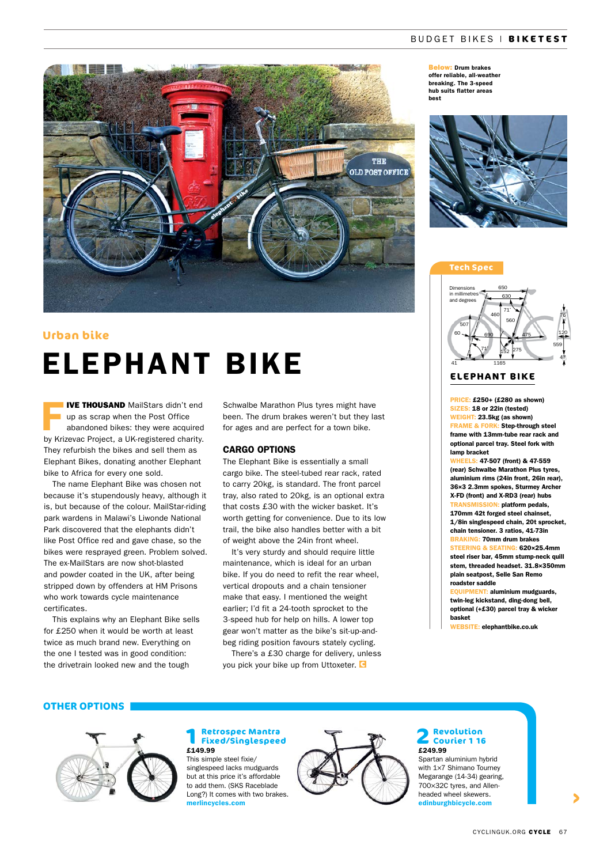# BUDGET BIKES | **BIKETEST**



# **Urban bike**

# ELEPHANT BIKE

**IVE THOUSAND** MailStars didn't end<br>up as scrap when the Post Office<br>abandoned bikes: they were acquired up as scrap when the Post Office abandoned bikes: they were acquired by Krizevac Project, a UK-registered charity. They refurbish the bikes and sell them as Elephant Bikes, donating another Elephant bike to Africa for every one sold.

The name Elephant Bike was chosen not because it's stupendously heavy, although it is, but because of the colour. MailStar-riding park wardens in Malawi's Liwonde National Park discovered that the elephants didn't like Post Office red and gave chase, so the bikes were resprayed green. Problem solved. The ex-MailStars are now shot-blasted and powder coated in the UK, after being stripped down by offenders at HM Prisons who work towards cycle maintenance certificates.

This explains why an Elephant Bike sells for £250 when it would be worth at least twice as much brand new. Everything on the one I tested was in good condition: the drivetrain looked new and the tough

Schwalbe Marathon Plus tyres might have been. The drum brakes weren't but they last for ages and are perfect for a town bike.

# CARGO OPTIONS

The Elephant Bike is essentially a small cargo bike. The steel-tubed rear rack, rated to carry 20kg, is standard. The front parcel tray, also rated to 20kg, is an optional extra that costs £30 with the wicker basket. It's worth getting for convenience. Due to its low trail, the bike also handles better with a bit of weight above the 24in front wheel.

It's very sturdy and should require little maintenance, which is ideal for an urban bike. If you do need to refit the rear wheel, vertical dropouts and a chain tensioner make that easy. I mentioned the weight earlier; I'd fit a 24-tooth sprocket to the 3-speed hub for help on hills. A lower top gear won't matter as the bike's sit-up-andbeg riding position favours stately cycling.

There's a £30 charge for delivery, unless you pick your bike up from Uttoxeter.

Below: Drum brakes offer reliable, all-weather breaking. The 3-speed hub suits flatter areas best



#### **Tech Spec**



# **ELEPHANT BIKE**

PRICE: £250+ (£280 as shown) SIZES: 18 or 22in (tested) WEIGHT: 23.5kg (as shown) FRAME & FORK: Step-through steel frame with 13mm-tube rear rack and optional parcel tray. Steel fork with lamp bracket

EELS: 47-507 (front) & 47-559 (rear) Schwalbe Marathon Plus tyres, aluminium rims (24in front, 26in rear), 36×3 2.3mm spokes, Sturmey Archer X-FD (front) and X-RD3 (rear) hubs **TRAN: platform pedals,** 170mm 42t forged steel chainset, 1/8in singlespeed chain, 20t sprocket, chain tensioner. 3 ratios, 41-73in BRAKING: 70mm drum brakes STEERING & SEATING: 620×25.4mm steel riser bar, 45mm stump-neck quill stem, threaded headset. 31.8×350mm plain seatpost, Selle San Remo roadster saddle

EQUIPMENT: aluminium mudguards, twin-leg kickstand, ding-dong bell, optional (+£30) parcel tray & wicker basket

WEBSITE: elephantbike.co.uk

# **OTHER OPTIONS**



# **1 Retrospec Mantra Fixed/Singlespeed**  £149.99

This simple steel fixie/ singlespeed lacks mudguards but at this price it's affordable to add them. (SKS Raceblade Long?) It comes with two brakes. merlincycles.com



# **2 Revolution Courier 1 16**  £249.99

Spartan aluminium hybrid with 1×7 Shimano Tourney Megarange (14-34) gearing, 700×32C tyres, and Allenheaded wheel skewers. edinburghbicycle.com